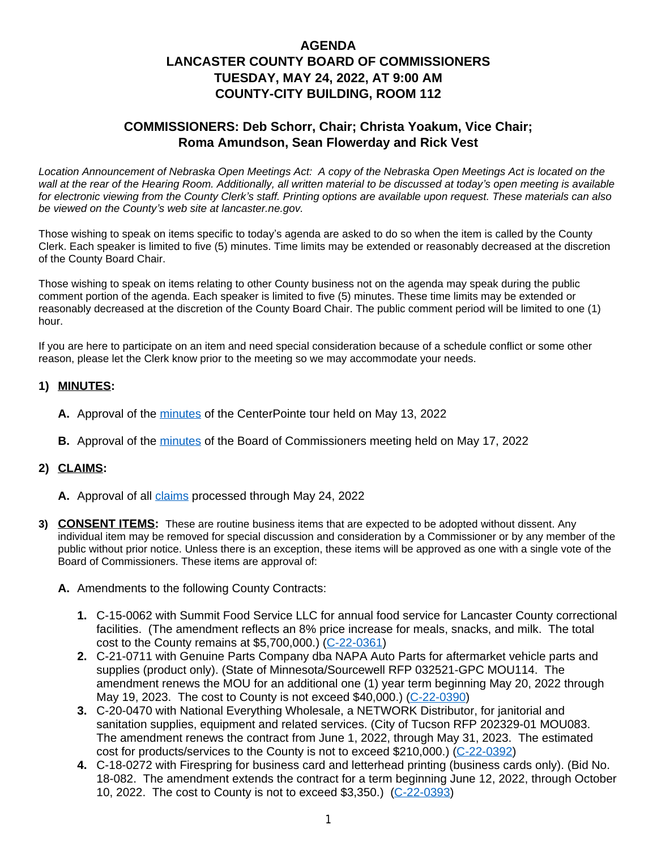## **AGENDA LANCASTER COUNTY BOARD OF COMMISSIONERS TUESDAY, MAY 24, 2022, AT 9:00 AM COUNTY-CITY BUILDING, ROOM 112**

## **COMMISSIONERS: Deb Schorr, Chair; Christa Yoakum, Vice Chair; Roma Amundson, Sean Flowerday and Rick Vest**

*Location Announcement of Nebraska Open Meetings Act: A copy of the Nebraska Open Meetings Act is located on the wall at the rear of the Hearing Room. Additionally, all written material to be discussed at today's open meeting is available for electronic viewing from the County Clerk's staff. Printing options are available upon request. These materials can also be viewed on the County's web site at lancaster.ne.gov.*

Those wishing to speak on items specific to today's agenda are asked to do so when the item is called by the County Clerk. Each speaker is limited to five (5) minutes. Time limits may be extended or reasonably decreased at the discretion of the County Board Chair.

Those wishing to speak on items relating to other County business not on the agenda may speak during the public comment portion of the agenda. Each speaker is limited to five (5) minutes. These time limits may be extended or reasonably decreased at the discretion of the County Board Chair. The public comment period will be limited to one (1) hour.

If you are here to participate on an item and need special consideration because of a schedule conflict or some other reason, please let the Clerk know prior to the meeting so we may accommodate your needs.

### **1) MINUTES:**

- **A.** Approval of the [minutes](https://www.lancaster.ne.gov/DocumentCenter/View/13968/mi220513CenterPointe-PDF) of the CenterPointe tour held on May 13, 2022
- **B.** Approval of the [minutes](https://www.lancaster.ne.gov/DocumentCenter/View/13972/mi220517--PDF) of the Board of Commissioners meeting held on May 17, 2022

#### **2) CLAIMS:**

- A. Approval of all *claims* processed through May 24, 2022
- **3) CONSENT ITEMS:** These are routine business items that are expected to be adopted without dissent. Any individual item may be removed for special discussion and consideration by a Commissioner or by any member of the public without prior notice. Unless there is an exception, these items will be approved as one with a single vote of the Board of Commissioners. These items are approval of:
	- **A.** Amendments to the following County Contracts:
		- **1.** C-15-0062 with Summit Food Service LLC for annual food service for Lancaster County correctional facilities. (The amendment reflects an 8% price increase for meals, snacks, and milk. The total cost to the County remains at \$5,700,000.) ([C-22-0361\)](https://www.lancaster.ne.gov/DocumentCenter/View/13931/C-22-0361-PDF)
		- **2.** [C-21-0711 with Genuine Parts Company dba NAPA Auto Parts for aftermarket vehicle parts and](https://www.lancaster.ne.gov/DocumentCenter/View/13931/C-22-0361-PDF)  [supplies](https://www.lancaster.ne.gov/DocumentCenter/View/13931/C-22-0361-PDF) [\(product only\). \(State of Minnesota/Sourcewell RFP 032521-GPC MOU114. The](https://www.lancaster.ne.gov/DocumentCenter/View/13931/C-22-0361-PDF)  [amendment renews the MOU for an additional one \(1\) year term beginning May 20, 2022 through](https://www.lancaster.ne.gov/DocumentCenter/View/13931/C-22-0361-PDF)  [May 19, 2023. The cost to County is not exceed \\$40,000.\) \(](https://www.lancaster.ne.gov/DocumentCenter/View/13931/C-22-0361-PDF)[C-22-0390\)](https://www.lancaster.ne.gov/DocumentCenter/View/13959/C-22-0390-PDF)
		- **3.** [C-20-0470 with National Everything Wholesale, a NETWORK Distributor,](https://www.lancaster.ne.gov/DocumentCenter/View/13959/C-22-0390-PDF) [for janitorial and](https://www.lancaster.ne.gov/DocumentCenter/View/13959/C-22-0390-PDF)  [sanitation supplies, equipment and related services. \(City of Tucson RFP 202329-01 MOU083.](https://www.lancaster.ne.gov/DocumentCenter/View/13959/C-22-0390-PDF)  [The amendment renews the contract from June 1, 2022, through May 31, 2023. The estimated](https://www.lancaster.ne.gov/DocumentCenter/View/13959/C-22-0390-PDF)  [cost for products/services to the County is not to exceed \\$210,000.\) \(](https://www.lancaster.ne.gov/DocumentCenter/View/13959/C-22-0390-PDF)[C-22-0392\)](https://www.lancaster.ne.gov/DocumentCenter/View/13961/C-22-0392-PDF)
		- **4.** [C-18-0272 with Firespring for business card and letterhead printing \(business cards only\). \(Bid No.](https://www.lancaster.ne.gov/DocumentCenter/View/13961/C-22-0392-PDF)  [18-082. The amendment extends the contract for a term beginning June 12, 2022, through October](https://www.lancaster.ne.gov/DocumentCenter/View/13961/C-22-0392-PDF) [10, 2022. The cost to County is not to exceed \\$3,350.\)](https://www.lancaster.ne.gov/DocumentCenter/View/13961/C-22-0392-PDF) [\(](https://www.lancaster.ne.gov/DocumentCenter/View/13961/C-22-0392-PDF)[C-22-0393\)](https://www.lancaster.ne.gov/DocumentCenter/View/13962/C-22-0393-PDF)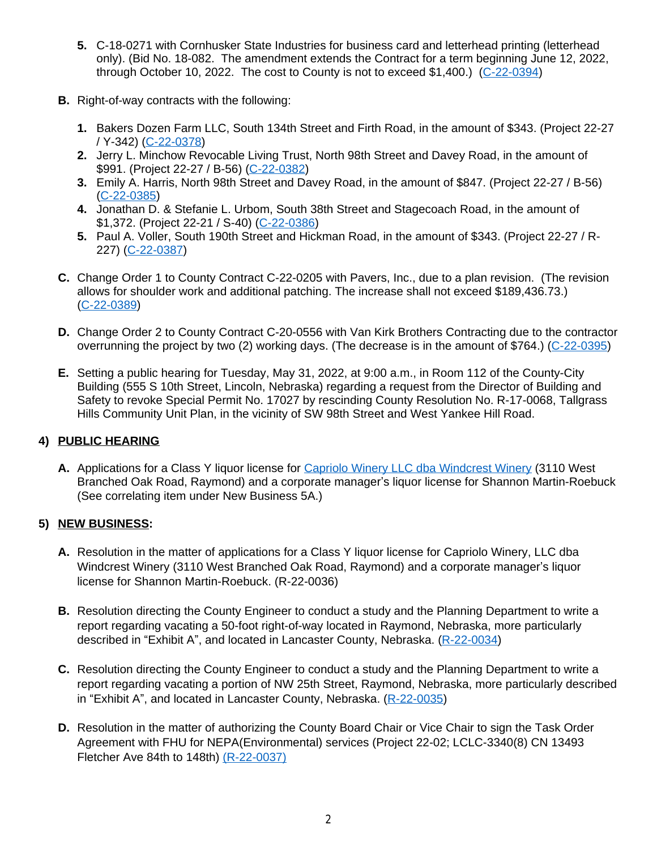- **5.** C-18-0271 with Cornhusker State Industries for business card and letterhead printing (letterhead only). (Bid No. 18-082. The amendment extends the Contract for a term beginning June 12, 2022, through October 10, 2022. The cost to County is not to exceed \$1,400.) [\(C-22-0394](https://www.lancaster.ne.gov/DocumentCenter/View/13963/C-22-0394-PDF))
- **B.** Right-of-way contracts with the following:
	- **1.** Bakers Dozen Farm LLC, South 134th Street and Firth Road, in the amount of \$343. (Project 22-27 / Y-342) ([C-22-0378\)](https://www.lancaster.ne.gov/DocumentCenter/View/13948/C-22-0378-PDF)
	- **2.** Jerry L. Minchow Revocable Living Trust, North 98th Street and Davey Road, in the amount of \$991. (Project 22-27 / B-56) [\(C-22-0382](https://www.lancaster.ne.gov/DocumentCenter/View/13951/C-22-0382-PDF))
	- **3.** Emily A. Harris, North 98th Street and Davey Road, in the amount of \$847. (Project 22-27 / B-56) ([C-22-0385\)](https://www.lancaster.ne.gov/DocumentCenter/View/13954/C-22-0385-PDF)
	- **4.** Jonathan D. & Stefanie L. Urbom, South 38th Street and Stagecoach Road, in the amount of \$1,372. (Project 22-21 / S-40) ([C-22-0386\)](https://www.lancaster.ne.gov/DocumentCenter/View/13955/C-22-0386-PDF)
	- **5.** Paul A. Voller, South 190th Street and Hickman Road, in the amount of \$343. (Project 22-27 / R-227) ([C-22-0387\)](https://www.lancaster.ne.gov/DocumentCenter/View/13956/C-22-0387-PDF)
- **C.** Change Order 1 to County Contract C-22-0205 with Pavers, Inc., due to a plan revision. (The revision allows for shoulder work and additional patching. The increase shall not exceed \$189,436.73.) ([C-22-0389\)](https://www.lancaster.ne.gov/DocumentCenter/View/13958/C-22-0389-PDF)
- **D.** Change Order 2 to County Contract C-20-0556 with Van Kirk Brothers Contracting due to the contractor overrunning the project by two (2) working days. (The decrease is in the amount of \$764.) [\(C-22-0395](https://www.lancaster.ne.gov/DocumentCenter/View/13964/C-22-0395-PDF))
- **E.** Setting a public hearing for Tuesday, May 31, 2022, at 9:00 a.m., in Room 112 of the County-City Building (555 S 10th Street, Lincoln, Nebraska) regarding a request from the Director of Building and Safety to revoke Special Permit No. 17027 by rescinding County Resolution No. R-17-0068, Tallgrass Hills Community Unit Plan, in the vicinity of SW 98th Street and West Yankee Hill Road.

### **4) PUBLIC HEARING**

**A.** Applications for a Class Y liquor license for [Capriolo Winery LLC dba Windcrest Winery \(3110 West](https://www.lancaster.ne.gov/DocumentCenter/View/13971/Windcrest-Winery-PDF)  [Branched Oak Road, Raymond\) and a corporate manager](https://www.lancaster.ne.gov/DocumentCenter/View/13971/Windcrest-Winery-PDF)'s liquor license for Shannon Martin-Roebuck [\(See correlating item under New Business 5A.\)](https://www.lancaster.ne.gov/DocumentCenter/View/13971/Windcrest-Winery-PDF)

### **5) [NEW BUSINESS:](https://www.lancaster.ne.gov/DocumentCenter/View/13971/Windcrest-Winery-PDF)**

- **A.** [Resolution in the matter of applications for a Class Y liquor license for Capriolo Winery, LLC dba](https://www.lancaster.ne.gov/DocumentCenter/View/13971/Windcrest-Winery-PDF)  [Windcrest Winery \(3110 West Branched Oak Road, Raymond\) and a corporate manager](https://www.lancaster.ne.gov/DocumentCenter/View/13971/Windcrest-Winery-PDF)'s liquor [license for Shannon Martin-Roebuck. \(R-22-0036\)](https://www.lancaster.ne.gov/DocumentCenter/View/13971/Windcrest-Winery-PDF)
- **B.** [Resolution directing the County Engineer to conduct a study and the Planning Department to write a](https://www.lancaster.ne.gov/DocumentCenter/View/13971/Windcrest-Winery-PDF)  [report regarding vacating a 50-foot right-of-way located in Raymond, Nebraska, more particularly](https://www.lancaster.ne.gov/DocumentCenter/View/13971/Windcrest-Winery-PDF)  described in "Exhibit A"[, and located in Lancaster County, Nebraska. \(](https://www.lancaster.ne.gov/DocumentCenter/View/13971/Windcrest-Winery-PDF)[R-22-0034\)](https://www.lancaster.ne.gov/DocumentCenter/View/13969/R-22-0034-PDF)
- **C.** [Resolution directing the County Engineer to conduct a study and the Planning Department to write a](https://www.lancaster.ne.gov/DocumentCenter/View/13969/R-22-0034-PDF)  [report regarding vacating a portion of NW 25th Street, Raymond, Nebraska, more particularly described](https://www.lancaster.ne.gov/DocumentCenter/View/13969/R-22-0034-PDF) in "Exhibit A"[, and located in Lancaster County, Nebraska. \(](https://www.lancaster.ne.gov/DocumentCenter/View/13969/R-22-0034-PDF)[R-22-0035\)](https://www.lancaster.ne.gov/DocumentCenter/View/13970/R-22-0035-PDF)
- **D.** Resolution in the matter of authorizing the County Board Chair or Vice Chair to sign the Task Order [Agreement with FHU for NEPA\(Environmental\) services \(Project 22-02; LCLC-3340\(8\) CN 13493](https://www.lancaster.ne.gov/DocumentCenter/View/13970/R-22-0035-PDF)  [Fletcher Ave 84th to 148th\)](https://www.lancaster.ne.gov/DocumentCenter/View/13970/R-22-0035-PDF) [\(R-22-0037\)](https://www.lancaster.ne.gov/DocumentCenter/View/13975/R-22-0037-PDF-)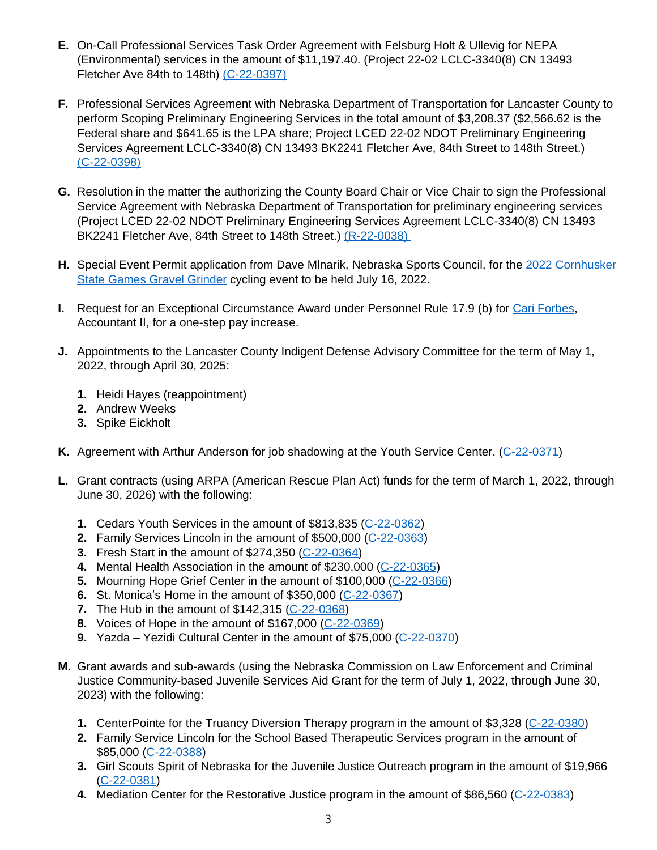- **E.** On-Call Professional Services Task Order Agreement with Felsburg Holt & Ullevig for NEPA (Environmental) services in the amount of \$11,197.40. (Project 22-02 LCLC-3340(8) CN 13493 Fletcher Ave 84th to 148th) [\(C-22-0397\)](https://www.lancaster.ne.gov/DocumentCenter/View/13978/C-22-0397PDF-)
- **F.** Professional Services Agreement with Nebraska Department of Transportation for Lancaster County to perform Scoping Preliminary Engineering Services in the total amount of \$3,208.37 (\$2,566.62 is the Federal share and \$641.65 is the LPA share; Project LCED 22-02 NDOT Preliminary Engineering Services Agreement LCLC-3340(8) CN 13493 BK2241 Fletcher Ave, 84th Street to 148th Street.) [\(C-22-0398\)](https://www.lancaster.ne.gov/DocumentCenter/View/13977/C-22-0398-PDF-)
- **G.** Resolution in the matter the authorizing the County Board Chair or Vice Chair to sign the Professional Service Agreement with Nebraska Department of Transportation for preliminary engineering services (Project LCED 22-02 NDOT Preliminary Engineering Services Agreement LCLC-3340(8) CN 13493 BK2241 Fletcher Ave, 84th Street to 148th Street.) (R-22-0038)
- **H.** [Special Event Permit application from Dave Mlnarik, Nebraska Sports Council, for the](https://www.lancaster.ne.gov/DocumentCenter/View/13976/R-22-0038-PDF-) [2022 Cornhusker](https://www.lancaster.ne.gov/DocumentCenter/View/13930/2022-Cornhusker-State-PDF) [State Games Gravel Grinder](https://www.lancaster.ne.gov/DocumentCenter/View/13930/2022-Cornhusker-State-PDF) [cycling event to be held July 16, 2022.](https://www.lancaster.ne.gov/DocumentCenter/View/13930/2022-Cornhusker-State-PDF)
- **I.** [Request for an Exceptional Circumstance Award under Personnel Rule 17.9 \(b\) for](https://www.lancaster.ne.gov/DocumentCenter/View/13930/2022-Cornhusker-State-PDF) [Cari Forbes,](https://www.lancaster.ne.gov/DocumentCenter/View/13966/Cari-Forbes-PDF)  [Accountant II, for a one-step pay increase.](https://www.lancaster.ne.gov/DocumentCenter/View/13966/Cari-Forbes-PDF)
- **J.** [Appointments to the Lancaster County Indigent Defense Advisory Committee for the term of May 1,](https://www.lancaster.ne.gov/DocumentCenter/View/13966/Cari-Forbes-PDF)  [2022,](https://www.lancaster.ne.gov/DocumentCenter/View/13966/Cari-Forbes-PDF) [through April 30, 2025:](https://www.lancaster.ne.gov/DocumentCenter/View/13966/Cari-Forbes-PDF)
	- **1.** [Heidi Hayes \(reappointment\)](https://www.lancaster.ne.gov/DocumentCenter/View/13966/Cari-Forbes-PDF)
	- **2.** [Andrew Weeks](https://www.lancaster.ne.gov/DocumentCenter/View/13966/Cari-Forbes-PDF)
	- **3.** [Spike Eickholt](https://www.lancaster.ne.gov/DocumentCenter/View/13966/Cari-Forbes-PDF)
- **K.** [Agreement with Arthur Anderson for job shadowing at the Youth Service Center. \(](https://www.lancaster.ne.gov/DocumentCenter/View/13966/Cari-Forbes-PDF)[C-22-0371\)](https://www.lancaster.ne.gov/DocumentCenter/View/13941/C-22-0371-PDF)
- **L.** Grant contracts (using ARPA (American Rescue Plan Act) funds for the term of March 1, 2022, through June 30, 2026) with the following:
	- **1.** Cedars Youth Services in the amount of \$813,835 [\(C-22-0362](https://www.lancaster.ne.gov/DocumentCenter/View/13932/C-22-0362-PDF))
	- **2.** Family Services Lincoln in the amount of \$500,000 [\(C-22-0363](https://www.lancaster.ne.gov/DocumentCenter/View/13933/C-22-0363-PDF))
	- **3.** Fresh Start in the amount of \$274,350 ([C-22-0364\)](https://www.lancaster.ne.gov/DocumentCenter/View/13934/C-22-0364-PDF)
	- **4.** Mental Health Association in the amount of \$230,000 ([C-22-0365\)](https://www.lancaster.ne.gov/DocumentCenter/View/13935/C-22-0365-PDF)
	- **5.** Mourning Hope Grief Center in the amount of \$100,000 ([C-22-0366\)](https://www.lancaster.ne.gov/DocumentCenter/View/13936/C-22-0366-PDF)
	- **6.** St. Monica's Home in the amount of \$350,000 ([C-22-0367\)](https://www.lancaster.ne.gov/DocumentCenter/View/13937/C-22-0367-PDF)
	- **7.** [The Hub in the amount of \\$142,315 \(](https://www.lancaster.ne.gov/DocumentCenter/View/13937/C-22-0367-PDF)[C-22-0368\)](https://www.lancaster.ne.gov/DocumentCenter/View/13938/C-22-0368-PDF)
	- **8.** Voices of Hope in the amount of \$167,000 [\(C-22-0369](https://www.lancaster.ne.gov/DocumentCenter/View/13939/C-22-0369-PDF))
	- **9.** Yazda Yezidi Cultural Center in the amount of \$75,000 (C-22-0370)
- **M.** [Grant awards and sub-awards \(using the Nebraska Commission on Law Enforcement and Criminal](https://www.lancaster.ne.gov/DocumentCenter/View/13940/C-22-0370-PDF)  [Justice Community-based Juvenile Services Aid Grant for the term of July 1, 2022, through June 30,](https://www.lancaster.ne.gov/DocumentCenter/View/13940/C-22-0370-PDF)  [2023\) with the following:](https://www.lancaster.ne.gov/DocumentCenter/View/13940/C-22-0370-PDF)
	- **1.** [CenterPointe for the Truancy Diversion Therapy program in the amount of \\$3,328 \(](https://www.lancaster.ne.gov/DocumentCenter/View/13940/C-22-0370-PDF)[C-22-0380\)](https://www.lancaster.ne.gov/DocumentCenter/View/13950/C-22-0380-PDF)
	- **2.** Family Service Lincoln for the School Based Therapeutic Services program in the amount of \$85,000 [\(C-22-0388](https://www.lancaster.ne.gov/DocumentCenter/View/13957/C-22-0388-PDF))
	- **3.** Girl Scouts Spirit of Nebraska for the Juvenile Justice Outreach program in the amount of \$19,966 ([C-22-0381\)](https://www.lancaster.ne.gov/DocumentCenter/View/13974/C-22-0381-PDF-)
	- **4.** Mediation Center for the Restorative Justice program in the amount of \$86,560 [\(C-22-0383](https://www.lancaster.ne.gov/DocumentCenter/View/13952/C-22-0383-PDF))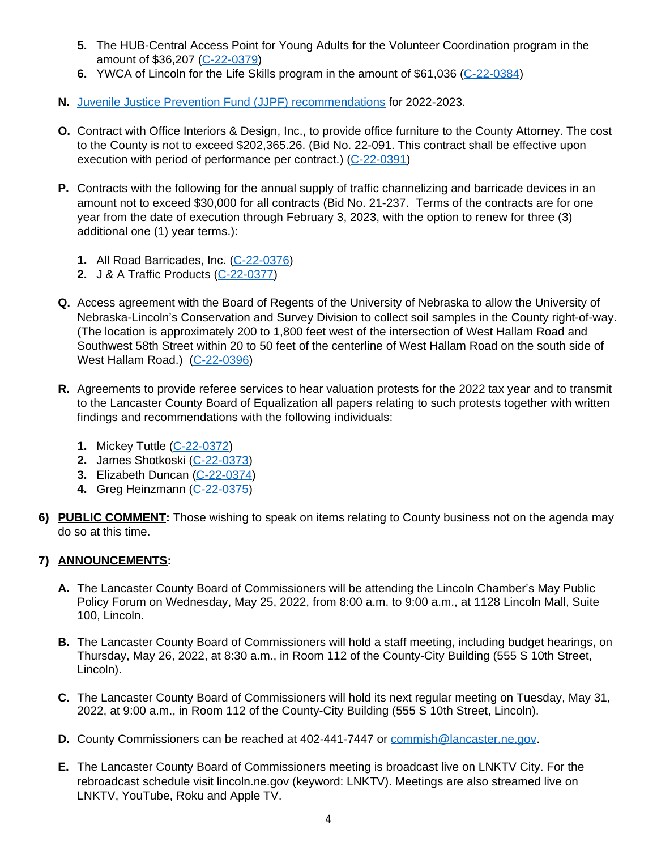- **5.** The HUB-Central Access Point for Young Adults for the Volunteer Coordination program in the amount of \$36,207 [\(C-22-0379\)](https://www.lancaster.ne.gov/DocumentCenter/View/13949/C-22-0379-PDF)
- **6.** [YWCA of Lincoln for the Life Skills program](https://www.lancaster.ne.gov/DocumentCenter/View/13949/C-22-0379-PDF) [in the amount of \\$61,036 \(](https://www.lancaster.ne.gov/DocumentCenter/View/13949/C-22-0379-PDF)[C-22-0384](https://www.lancaster.ne.gov/DocumentCenter/View/13953/C-22-0384-PDF))
- **N.** [Juvenile Justice Prevention Fund \(JJPF\) recommendations](https://www.lancaster.ne.gov/DocumentCenter/View/13967/JJPF-Funding-Recommendations-PDF) for 2022-2023.
- **O.** Contract with Office Interiors & Design, Inc., to provide office furniture to the County Attorney. The cost to the County is not to exceed \$202,365.26. (Bid No. 22-091. This contract shall be effective upon execution with period of performance per contract.) ([C-22-0391\)](https://www.lancaster.ne.gov/DocumentCenter/View/13960/C-22-0391-PDF)
- **P.** Contracts with the following for the annual supply of traffic channelizing and barricade devices in an amount not to exceed \$30,000 for all contracts (Bid No. 21-237. Terms of the contracts are for one year from the date of execution through February 3, 2023, with the option to renew for three (3) additional one (1) year terms.):
	- **1.** All Road Barricades, Inc. ([C-22-0376\)](https://www.lancaster.ne.gov/DocumentCenter/View/13946/C-22-0376-PDF)
	- **2.** J & A Traffic Products [\(C-22-0377](https://www.lancaster.ne.gov/DocumentCenter/View/13947/C-22-0377-PDF))
- **Q.** Access agreement with the Board of Regents of the University of Nebraska to allow the University of Nebraska-Lincoln's Conservation and Survey Division to collect soil samples in the County right-of-way. (The location is approximately 200 to 1,800 feet west of the intersection of West Hallam Road and Southwest 58th Street within 20 to 50 feet of the centerline of West Hallam Road on the south side of West Hallam Road.) [\(C-22-0396\)](https://www.lancaster.ne.gov/DocumentCenter/View/13965/C-22-0396-PDF)
- **R.** [Agreements to provide referee services to hear valuation protests for the 2022 tax year and to transmit](https://www.lancaster.ne.gov/DocumentCenter/View/13965/C-22-0396-PDF)  [to the Lancaster County Board of Equalization all papers relating to such protests together with written](https://www.lancaster.ne.gov/DocumentCenter/View/13965/C-22-0396-PDF)  [findings and recommendations with the following individuals:](https://www.lancaster.ne.gov/DocumentCenter/View/13965/C-22-0396-PDF)
	- **1.** [Mickey Tuttle \(](https://www.lancaster.ne.gov/DocumentCenter/View/13965/C-22-0396-PDF)[C-22-0372\)](https://www.lancaster.ne.gov/DocumentCenter/View/13942/C-22-0372-PDF)
	- **2.** [James Shotkoski \(](https://www.lancaster.ne.gov/DocumentCenter/View/13942/C-22-0372-PDF)[C-22-0373\)](https://www.lancaster.ne.gov/DocumentCenter/View/13943/C-22-0373-PDF)
	- **3.** Elizabeth Duncan ([C-22-0374\)](https://www.lancaster.ne.gov/DocumentCenter/View/13944/C-22-0374-PDF)
	- **4.** Greg Heinzmann ([C-22-0375\)](https://www.lancaster.ne.gov/DocumentCenter/View/13945/C-22-0375-PDF)
- **6) PUBLIC COMMENT:** Those wishing to speak on items relating to County business not on the agenda may do so at this time.

# **7) ANNOUNCEMENTS:**

- **A.** The Lancaster County Board of Commissioners will be attending the Lincoln Chamber's May Public Policy Forum on Wednesday, May 25, 2022, from 8:00 a.m. to 9:00 a.m., at 1128 Lincoln Mall, Suite 100, Lincoln.
- **B.** The Lancaster County Board of Commissioners will hold a staff meeting, including budget hearings, on Thursday, May 26, 2022, at 8:30 a.m., in Room 112 of the County-City Building (555 S 10th Street, Lincoln).
- **C.** The Lancaster County Board of Commissioners will hold its next regular meeting on Tuesday, May 31, 2022, at 9:00 a.m., in Room 112 of the County-City Building (555 S 10th Street, Lincoln).
- **D.** County Commissioners can be reached at 402-441-7447 or [commish@lancaster.ne.gov](mailto:commish@lancaster.ne.gov).
- **E.** The Lancaster County Board of Commissioners meeting is broadcast live on LNKTV City. For the rebroadcast schedule visit lincoln.ne.gov (keyword: LNKTV). Meetings are also streamed live on LNKTV, YouTube, Roku and Apple TV.